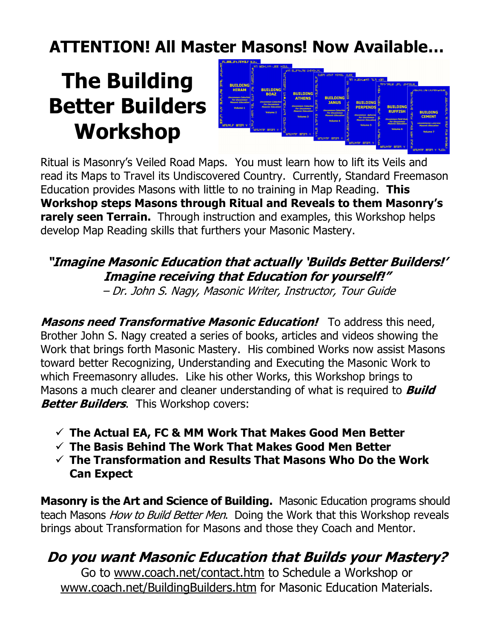## ATTENTION! All Master Masons! Now Available…

# The Building Better Builders Workshop



Ritual is Masonry's Veiled Road Maps. You must learn how to lift its Veils and read its Maps to Travel its Undiscovered Country. Currently, Standard Freemason Education provides Masons with little to no training in Map Reading. This Workshop steps Masons through Ritual and Reveals to them Masonry's **rarely seen Terrain.** Through instruction and examples, this Workshop helps develop Map Reading skills that furthers your Masonic Mastery.

### "Imagine Masonic Education that actually 'Builds Better Builders!' Imagine receiving that Education for yourself!"

– Dr. John S. Nagy, Masonic Writer, Instructor, Tour Guide

Masons need Transformative Masonic Education! To address this need, Brother John S. Nagy created a series of books, articles and videos showing the Work that brings forth Masonic Mastery. His combined Works now assist Masons toward better Recognizing, Understanding and Executing the Masonic Work to which Freemasonry alludes. Like his other Works, this Workshop brings to Masons a much clearer and cleaner understanding of what is required to **Build Better Builders.** This Workshop covers:

- $\checkmark$  The Actual EA, FC & MM Work That Makes Good Men Better
- $\checkmark$  The Basis Behind The Work That Makes Good Men Better
- $\checkmark$  The Transformation and Results That Masons Who Do the Work Can Expect

Masonry is the Art and Science of Building. Masonic Education programs should teach Masons *How to Build Better Men*. Doing the Work that this Workshop reveals brings about Transformation for Masons and those they Coach and Mentor.

### Do you want Masonic Education that Builds your Mastery?

Go to www.coach.net/contact.htm to Schedule a Workshop or www.coach.net/BuildingBuilders.htm for Masonic Education Materials.